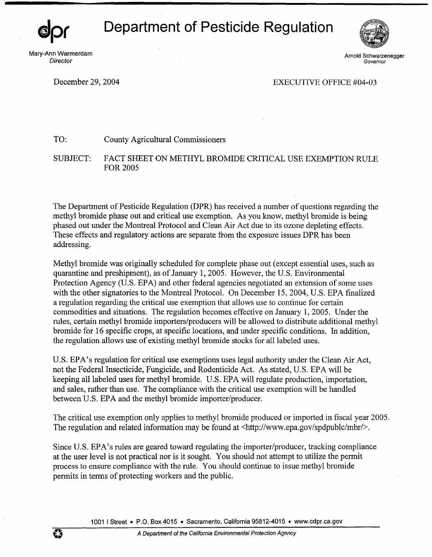## **Department of Pesticide Regulation**

Mary-Ann Warmerdam **Director** 



Arnold Schwarzenegger Governor

December 29, 2004 **EXECUTIVE OFFICE #04-03** 

TO: County Agricultural Commissioners

SUBJECT: FACT SHEET ON METHYL BROMIDE CRITICAL USE EXEMPTION RULE FOR2005

The Department of Pesticide Regulation (DPR) has received a number of questions regarding the methyl bromide phase out and critical use exemption. As you know, methyl bromide is being phased out under the Montreal Protocol and Clean Air Act due to its ozone depleting effects. These effects and regulatory actions are separate from the exposure issues DPR has been addressing.

Methyl bromide was originally scheduled for complete phase out ( except essential uses, such as quarantine and preshipment), as of January 1, 2005. However, the U.S. Environmental Protection Agency (U.S. EPA) and other federal agencies negotiated an extension of some uses with the other signatories to the Montreal Protocol. On December 15, 2004, U.S. EPA finalized a regulation regarding the critical use exemption that allows use to continue for certain commodities and situations. The regulation becomes effective on January 1, 2005. Under the rules, certain methyl bromide importers/producers will be allowed to distribute additional methyl bromide for 16 specific crops, at specific locations, and under specific conditions. In addition, the regulation allows use of existing methyl bromide stocks for all labeled uses.

U.S. EPA's regulation for critical use exemptions uses legal authority under the Clean Air Act, not the Federal Insecticide, Fungicide, and Rodenticide Act. As stated, U.S. EPA will be keeping all labeled uses for methyl bromide. U.S. EPA will regulate production, importation, and sales, rather than use. The compliance with the critical use exemption will be handled between U.S. EPA and the methyl bromide importer/producer.

The critical use exemption only applies to methyl bromide produced or imported in fiscal year 2005. The regulation and related information may be found at  $\langle \text{http://www.epa.gov/spdpublc/mbr/>}.$ 

Since U.S. EPA's rules are geared toward regulating the importer/producer, tracking compliance at the user level is not practical nor is it sought. You should not attempt to utilize the permit process to ensure compliance with the rule. You should continue to issue methyl bromide permits in terms of protecting workers and the public.

1001 I Street • P.O. Box 4015 • Sacramento, California 95812-4015 • www.cdpr.ca.gov